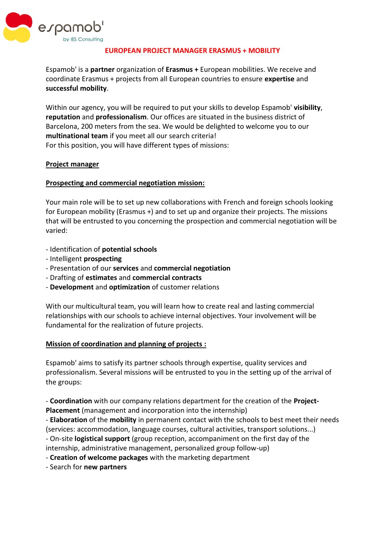

### **EUROPEAN PROJECT MANAGER ERASMUS + MOBILITY**

Espamob' is a **partner** organization of **Erasmus +** European mobilities. We receive and coordinate Erasmus + projects from all European countries to ensure **expertise** and **successful mobility**.

Within our agency, you will be required to put your skills to develop Espamob' **visibility**, **reputation** and **professionalism**. Our offices are situated in the business district of Barcelona, 200 meters from the sea. We would be delighted to welcome you to our **multinational team** if you meet all our search criteria! For this position, you will have different types of missions:

### **Project manager**

### **Prospecting and commercial negotiation mission:**

Your main role will be to set up new collaborations with French and foreign schools looking for European mobility (Erasmus +) and to set up and organize their projects. The missions that will be entrusted to you concerning the prospection and commercial negotiation will be varied:

- Identification of **potential schools**
- Intelligent **prospecting**
- Presentation of our **services** and **commercial negotiation**
- Drafting of **estimates** and **commercial contracts**
- **Development** and **optimization** of customer relations

With our multicultural team, you will learn how to create real and lasting commercial relationships with our schools to achieve internal objectives. Your involvement will be fundamental for the realization of future projects.

#### **Mission of coordination and planning of projects :**

Espamob' aims to satisfy its partner schools through expertise, quality services and professionalism. Several missions will be entrusted to you in the setting up of the arrival of the groups:

- **Coordination** with our company relations department for the creation of the **Project-Placement** (management and incorporation into the internship)

- **Elaboration** of the **mobility** in permanent contact with the schools to best meet their needs (services: accommodation, language courses, cultural activities, transport solutions...)

- On-site **logistical support** (group reception, accompaniment on the first day of the

internship, administrative management, personalized group follow-up)

- **Creation of welcome packages** with the marketing department

- Search for **new partners**